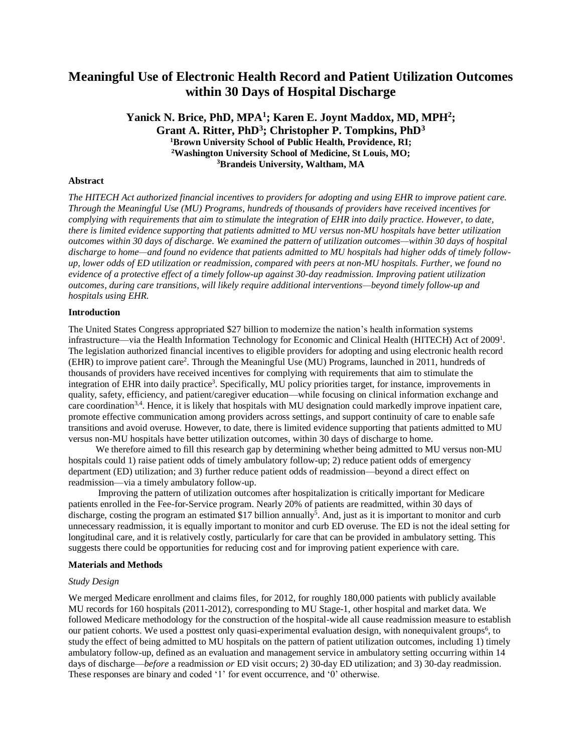# **Meaningful Use of Electronic Health Record and Patient Utilization Outcomes within 30 Days of Hospital Discharge**

**Yanick N. Brice, PhD, MPA<sup>1</sup> ; Karen E. Joynt Maddox, MD, MPH<sup>2</sup> ; Grant A. Ritter, PhD<sup>3</sup> ; Christopher P. Tompkins, PhD<sup>3</sup> <sup>1</sup>Brown University School of Public Health, Providence, RI; <sup>2</sup>Washington University School of Medicine, St Louis, MO; <sup>3</sup>Brandeis University, Waltham, MA**

## **Abstract**

*The HITECH Act authorized financial incentives to providers for adopting and using EHR to improve patient care. Through the Meaningful Use (MU) Programs, hundreds of thousands of providers have received incentives for complying with requirements that aim to stimulate the integration of EHR into daily practice. However, to date, there is limited evidence supporting that patients admitted to MU versus non-MU hospitals have better utilization outcomes within 30 days of discharge. We examined the pattern of utilization outcomes—within 30 days of hospital discharge to home—and found no evidence that patients admitted to MU hospitals had higher odds of timely followup, lower odds of ED utilization or readmission, compared with peers at non-MU hospitals. Further, we found no evidence of a protective effect of a timely follow-up against 30-day readmission. Improving patient utilization outcomes, during care transitions, will likely require additional interventions—beyond timely follow-up and hospitals using EHR.*

## **Introduction**

The United States Congress appropriated \$27 billion to modernize the nation's health information systems infrastructure—via the Health Information Technology for Economic and Clinical Health (HITECH) Act of 2009<sup>1</sup>. The legislation authorized financial incentives to eligible providers for adopting and using electronic health record (EHR) to improve patient care<sup>2</sup> . Through the Meaningful Use (MU) Programs, launched in 2011, hundreds of thousands of providers have received incentives for complying with requirements that aim to stimulate the integration of EHR into daily practice<sup>3</sup>. Specifically, MU policy priorities target, for instance, improvements in quality, safety, efficiency, and patient/caregiver education—while focusing on clinical information exchange and care coordination<sup>3,4</sup>. Hence, it is likely that hospitals with MU designation could markedly improve inpatient care, promote effective communication among providers across settings, and support continuity of care to enable safe transitions and avoid overuse. However, to date, there is limited evidence supporting that patients admitted to MU versus non-MU hospitals have better utilization outcomes, within 30 days of discharge to home.

We therefore aimed to fill this research gap by determining whether being admitted to MU versus non-MU hospitals could 1) raise patient odds of timely ambulatory follow-up; 2) reduce patient odds of emergency department (ED) utilization; and 3) further reduce patient odds of readmission—beyond a direct effect on readmission—via a timely ambulatory follow-up.

Improving the pattern of utilization outcomes after hospitalization is critically important for Medicare patients enrolled in the Fee-for-Service program. Nearly 20% of patients are readmitted, within 30 days of discharge, costing the program an estimated \$17 billion annually<sup>5</sup>. And, just as it is important to monitor and curb unnecessary readmission, it is equally important to monitor and curb ED overuse. The ED is not the ideal setting for longitudinal care, and it is relatively costly, particularly for care that can be provided in ambulatory setting. This suggests there could be opportunities for reducing cost and for improving patient experience with care.

## **Materials and Methods**

#### *Study Design*

We merged Medicare enrollment and claims files, for 2012, for roughly 180,000 patients with publicly available MU records for 160 hospitals (2011-2012), corresponding to MU Stage-1, other hospital and market data. We followed Medicare methodology for the construction of the hospital-wide all cause readmission measure to establish our patient cohorts. We used a posttest only quasi-experimental evaluation design, with nonequivalent groups<sup>6</sup>, to study the effect of being admitted to MU hospitals on the pattern of patient utilization outcomes, including 1) timely ambulatory follow-up, defined as an evaluation and management service in ambulatory setting occurring within 14 days of discharge—*before* a readmission *or* ED visit occurs; 2) 30-day ED utilization; and 3) 30-day readmission. These responses are binary and coded '1' for event occurrence, and '0' otherwise.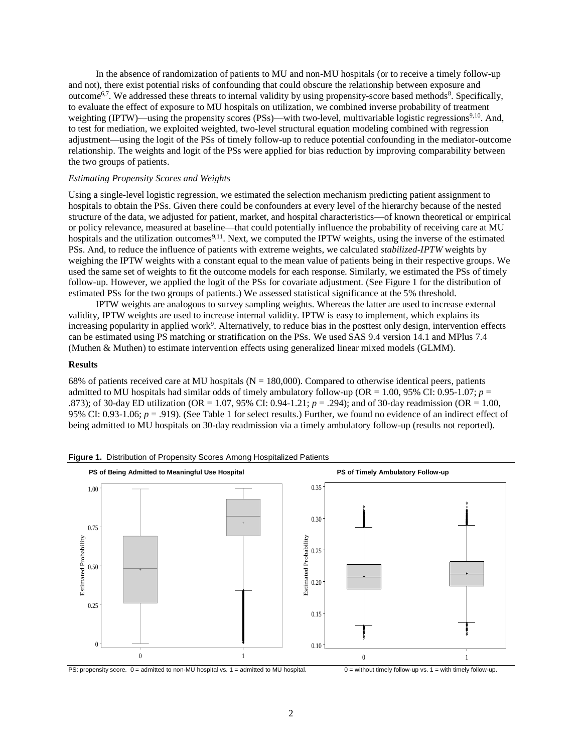In the absence of randomization of patients to MU and non-MU hospitals (or to receive a timely follow-up and not), there exist potential risks of confounding that could obscure the relationship between exposure and outcome<sup>6,7</sup>. We addressed these threats to internal validity by using propensity-score based methods<sup>8</sup>. Specifically, to evaluate the effect of exposure to MU hospitals on utilization, we combined inverse probability of treatment weighting (IPTW)—using the propensity scores (PSs)—with two-level, multivariable logistic regressions<sup>9,10</sup>. And, to test for mediation, we exploited weighted, two-level structural equation modeling combined with regression adjustment—using the logit of the PSs of timely follow-up to reduce potential confounding in the mediator-outcome relationship. The weights and logit of the PSs were applied for bias reduction by improving comparability between the two groups of patients.

# *Estimating Propensity Scores and Weights*

Using a single-level logistic regression, we estimated the selection mechanism predicting patient assignment to hospitals to obtain the PSs. Given there could be confounders at every level of the hierarchy because of the nested structure of the data, we adjusted for patient, market, and hospital characteristics—of known theoretical or empirical or policy relevance, measured at baseline—that could potentially influence the probability of receiving care at MU hospitals and the utilization outcomes<sup>9,11</sup>. Next, we computed the IPTW weights, using the inverse of the estimated PSs. And, to reduce the influence of patients with extreme weights, we calculated *stabilized-IPTW* weights by weighing the IPTW weights with a constant equal to the mean value of patients being in their respective groups. We used the same set of weights to fit the outcome models for each response. Similarly, we estimated the PSs of timely follow-up. However, we applied the logit of the PSs for covariate adjustment. (See Figure 1 for the distribution of estimated PSs for the two groups of patients.) We assessed statistical significance at the 5% threshold.

IPTW weights are analogous to survey sampling weights. Whereas the latter are used to increase external validity, IPTW weights are used to increase internal validity. IPTW is easy to implement, which explains its increasing popularity in applied work<sup>9</sup>. Alternatively, to reduce bias in the posttest only design, intervention effects can be estimated using PS matching or stratification on the PSs. We used SAS 9.4 version 14.1 and MPlus 7.4 (Muthen & Muthen) to estimate intervention effects using generalized linear mixed models (GLMM).

#### **Results**

68% of patients received care at MU hospitals ( $N = 180,000$ ). Compared to otherwise identical peers, patients admitted to MU hospitals had similar odds of timely ambulatory follow-up (OR = 1.00, 95% CI: 0.95-1.07; *p* = .873); of 30-day ED utilization (OR = 1.07, 95% CI: 0.94-1.21; *p* = .294); and of 30-day readmission (OR = 1.00, 95% CI: 0.93-1.06; *p* = .919). (See Table 1 for select results.) Further, we found no evidence of an indirect effect of being admitted to MU hospitals on 30-day readmission via a timely ambulatory follow-up (results not reported).



**Figure 1.** Distribution of Propensity Scores Among Hospitalized Patients

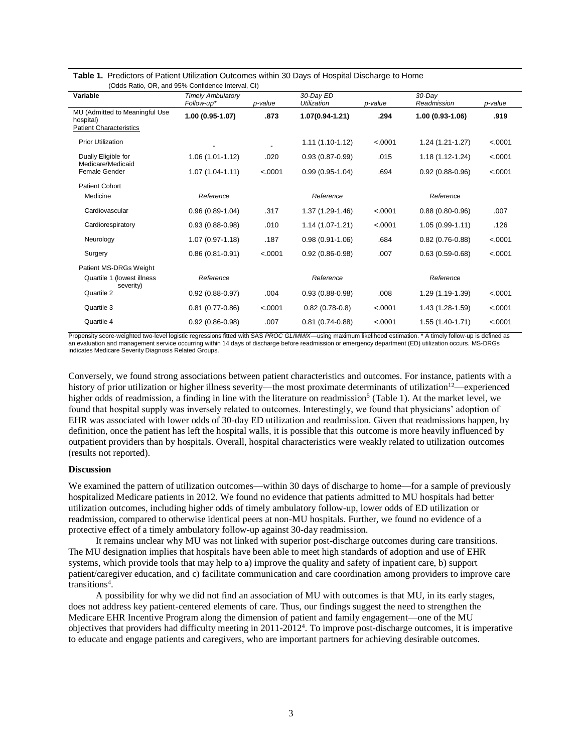| $\overline{1}$ $\overline{2}$ $\overline{3}$ $\overline{4}$ $\overline{1}$ $\overline{2}$ $\overline{3}$ $\overline{4}$ $\overline{5}$ $\overline{4}$ $\overline{5}$ $\overline{6}$ $\overline{5}$ $\overline{6}$ $\overline{6}$ $\overline{6}$ $\overline{6}$ $\overline{6}$ $\overline{6}$ $\overline{6}$ $\overline{6}$ $\overline{6}$ $\overline{6}$ $\overline{6}$ $\overline{$ |                          |         |                     |         |                     |         |
|--------------------------------------------------------------------------------------------------------------------------------------------------------------------------------------------------------------------------------------------------------------------------------------------------------------------------------------------------------------------------------------|--------------------------|---------|---------------------|---------|---------------------|---------|
| Variable                                                                                                                                                                                                                                                                                                                                                                             | <b>Timely Ambulatory</b> |         | 30-Dav ED           |         | $30$ -Day           |         |
|                                                                                                                                                                                                                                                                                                                                                                                      | Follow-up*               | p-value | Utilization         | p-value | Readmission         | p-value |
| MU (Admitted to Meaningful Use<br>hospital)                                                                                                                                                                                                                                                                                                                                          | 1.00 (0.95-1.07)         | .873    | 1.07(0.94-1.21)     | .294    | $1.00(0.93-1.06)$   | .919    |
| <b>Patient Characteristics</b>                                                                                                                                                                                                                                                                                                                                                       |                          |         |                     |         |                     |         |
| <b>Prior Utilization</b>                                                                                                                                                                                                                                                                                                                                                             |                          |         | $1.11(1.10-1.12)$   | < .0001 | 1.24 (1.21-1.27)    | < .0001 |
| Dually Eligible for<br>Medicare/Medicaid                                                                                                                                                                                                                                                                                                                                             | $1.06(1.01-1.12)$        | .020    | $0.93(0.87 - 0.99)$ | .015    | 1.18 (1.12-1.24)    | < .0001 |
| Female Gender                                                                                                                                                                                                                                                                                                                                                                        | $1.07(1.04-1.11)$        | < .0001 | $0.99(0.95-1.04)$   | .694    | $0.92(0.88-0.96)$   | < .0001 |
| <b>Patient Cohort</b>                                                                                                                                                                                                                                                                                                                                                                |                          |         |                     |         |                     |         |
| Medicine                                                                                                                                                                                                                                                                                                                                                                             | Reference                |         | Reference           |         | Reference           |         |
| Cardiovascular                                                                                                                                                                                                                                                                                                                                                                       | $0.96(0.89-1.04)$        | .317    | 1.37 (1.29-1.46)    | < .0001 | $0.88(0.80 - 0.96)$ | .007    |
| Cardiorespiratory                                                                                                                                                                                                                                                                                                                                                                    | $0.93(0.88-0.98)$        | .010    | 1.14 (1.07-1.21)    | < .0001 | $1.05(0.99-1.11)$   | .126    |
| Neurology                                                                                                                                                                                                                                                                                                                                                                            | $1.07(0.97 - 1.18)$      | .187    | $0.98(0.91-1.06)$   | .684    | $0.82(0.76-0.88)$   | < .0001 |
| Surgery                                                                                                                                                                                                                                                                                                                                                                              | $0.86(0.81 - 0.91)$      | < .0001 | $0.92(0.86 - 0.98)$ | .007    | $0.63(0.59 - 0.68)$ | < .0001 |
| Patient MS-DRGs Weight                                                                                                                                                                                                                                                                                                                                                               |                          |         |                     |         |                     |         |
| Quartile 1 (lowest illness<br>severity)                                                                                                                                                                                                                                                                                                                                              | Reference                |         | Reference           |         | Reference           |         |
| Quartile 2                                                                                                                                                                                                                                                                                                                                                                           | $0.92(0.88-0.97)$        | .004    | $0.93(0.88-0.98)$   | .008    | 1.29 (1.19-1.39)    | < .0001 |
| Quartile 3                                                                                                                                                                                                                                                                                                                                                                           | $0.81(0.77-0.86)$        | < .0001 | $0.82(0.78-0.8)$    | < .0001 | 1.43 (1.28-1.59)    | < .0001 |
| Quartile 4                                                                                                                                                                                                                                                                                                                                                                           | $0.92(0.86 - 0.98)$      | .007    | $0.81(0.74 - 0.88)$ | < .0001 | 1.55 (1.40-1.71)    | < .0001 |

**Table 1.** Predictors of Patient Utilization Outcomes within 30 Days of Hospital Discharge to Home (Odds Ratio, OR, and 95% Confidence Interval, CI)

Propensity score-weighted two-level logistic regressions fitted with SAS PROC GLIMMIX—using maximum likelihood estimation. \* A timely follow-up is defined as an evaluation and management service occurring within 14 days of discharge before readmission or emergency department (ED) utilization occurs. MS-DRGs indicates Medicare Severity Diagnosis Related Groups.

Conversely, we found strong associations between patient characteristics and outcomes. For instance, patients with a history of prior utilization or higher illness severity—the most proximate determinants of utilization<sup>12</sup>—experienced higher odds of readmission, a finding in line with the literature on readmission<sup>5</sup> (Table 1). At the market level, we found that hospital supply was inversely related to outcomes. Interestingly, we found that physicians' adoption of EHR was associated with lower odds of 30-day ED utilization and readmission. Given that readmissions happen, by definition, once the patient has left the hospital walls, it is possible that this outcome is more heavily influenced by outpatient providers than by hospitals. Overall, hospital characteristics were weakly related to utilization outcomes (results not reported).

## **Discussion**

We examined the pattern of utilization outcomes—within 30 days of discharge to home—for a sample of previously hospitalized Medicare patients in 2012. We found no evidence that patients admitted to MU hospitals had better utilization outcomes, including higher odds of timely ambulatory follow-up, lower odds of ED utilization or readmission, compared to otherwise identical peers at non-MU hospitals. Further, we found no evidence of a protective effect of a timely ambulatory follow-up against 30-day readmission.

It remains unclear why MU was not linked with superior post-discharge outcomes during care transitions. The MU designation implies that hospitals have been able to meet high standards of adoption and use of EHR systems, which provide tools that may help to a) improve the quality and safety of inpatient care, b) support patient/caregiver education, and c) facilitate communication and care coordination among providers to improve care transitions<sup>4</sup>.

A possibility for why we did not find an association of MU with outcomes is that MU, in its early stages, does not address key patient-centered elements of care. Thus, our findings suggest the need to strengthen the Medicare EHR Incentive Program along the dimension of patient and family engagement—one of the MU objectives that providers had difficulty meeting in 2011-2012<sup>4</sup> . To improve post-discharge outcomes, it is imperative to educate and engage patients and caregivers, who are important partners for achieving desirable outcomes.